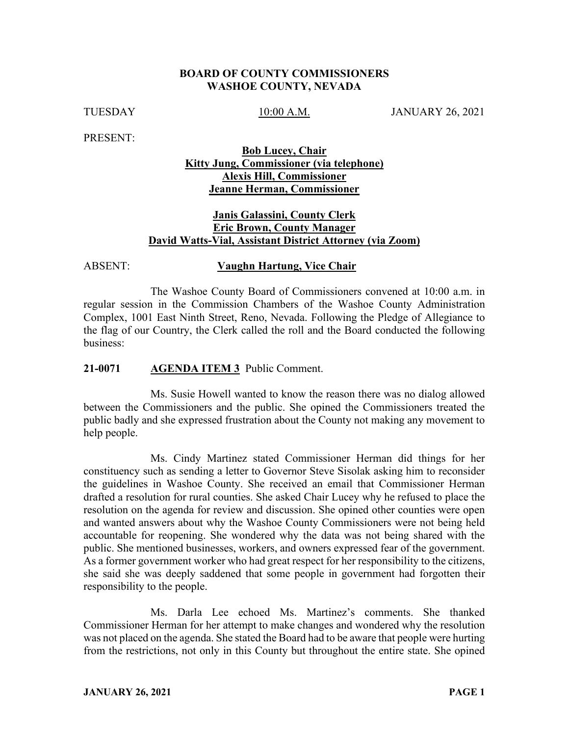### **BOARD OF COUNTY COMMISSIONERS WASHOE COUNTY, NEVADA**

TUESDAY 10:00 A.M. JANUARY 26, 2021

PRESENT:

## **Bob Lucey, Chair Kitty Jung, Commissioner (via telephone) Alexis Hill, Commissioner Jeanne Herman, Commissioner**

# **Janis Galassini, County Clerk Eric Brown, County Manager David Watts-Vial, Assistant District Attorney (via Zoom)**

#### ABSENT: **Vaughn Hartung, Vice Chair**

The Washoe County Board of Commissioners convened at 10:00 a.m. in regular session in the Commission Chambers of the Washoe County Administration Complex, 1001 East Ninth Street, Reno, Nevada. Following the Pledge of Allegiance to the flag of our Country, the Clerk called the roll and the Board conducted the following business:

### **21-0071 AGENDA ITEM 3** Public Comment.

Ms. Susie Howell wanted to know the reason there was no dialog allowed between the Commissioners and the public. She opined the Commissioners treated the public badly and she expressed frustration about the County not making any movement to help people.

Ms. Cindy Martinez stated Commissioner Herman did things for her constituency such as sending a letter to Governor Steve Sisolak asking him to reconsider the guidelines in Washoe County. She received an email that Commissioner Herman drafted a resolution for rural counties. She asked Chair Lucey why he refused to place the resolution on the agenda for review and discussion. She opined other counties were open and wanted answers about why the Washoe County Commissioners were not being held accountable for reopening. She wondered why the data was not being shared with the public. She mentioned businesses, workers, and owners expressed fear of the government. As a former government worker who had great respect for her responsibility to the citizens, she said she was deeply saddened that some people in government had forgotten their responsibility to the people.

Ms. Darla Lee echoed Ms. Martinez's comments. She thanked Commissioner Herman for her attempt to make changes and wondered why the resolution was not placed on the agenda. She stated the Board had to be aware that people were hurting from the restrictions, not only in this County but throughout the entire state. She opined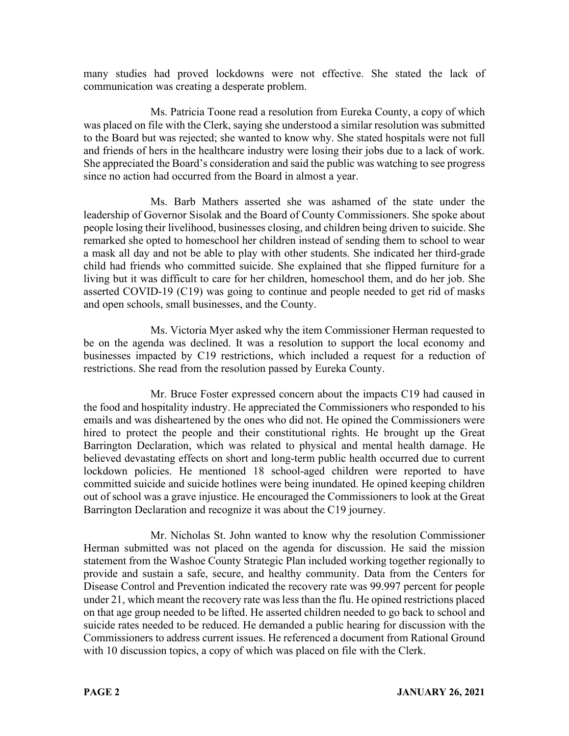many studies had proved lockdowns were not effective. She stated the lack of communication was creating a desperate problem.

Ms. Patricia Toone read a resolution from Eureka County, a copy of which was placed on file with the Clerk, saying she understood a similar resolution was submitted to the Board but was rejected; she wanted to know why. She stated hospitals were not full and friends of hers in the healthcare industry were losing their jobs due to a lack of work. She appreciated the Board's consideration and said the public was watching to see progress since no action had occurred from the Board in almost a year.

Ms. Barb Mathers asserted she was ashamed of the state under the leadership of Governor Sisolak and the Board of County Commissioners. She spoke about people losing their livelihood, businesses closing, and children being driven to suicide. She remarked she opted to homeschool her children instead of sending them to school to wear a mask all day and not be able to play with other students. She indicated her third-grade child had friends who committed suicide. She explained that she flipped furniture for a living but it was difficult to care for her children, homeschool them, and do her job. She asserted COVID-19 (C19) was going to continue and people needed to get rid of masks and open schools, small businesses, and the County.

Ms. Victoria Myer asked why the item Commissioner Herman requested to be on the agenda was declined. It was a resolution to support the local economy and businesses impacted by C19 restrictions, which included a request for a reduction of restrictions. She read from the resolution passed by Eureka County.

Mr. Bruce Foster expressed concern about the impacts C19 had caused in the food and hospitality industry. He appreciated the Commissioners who responded to his emails and was disheartened by the ones who did not. He opined the Commissioners were hired to protect the people and their constitutional rights. He brought up the Great Barrington Declaration, which was related to physical and mental health damage. He believed devastating effects on short and long-term public health occurred due to current lockdown policies. He mentioned 18 school-aged children were reported to have committed suicide and suicide hotlines were being inundated. He opined keeping children out of school was a grave injustice. He encouraged the Commissioners to look at the Great Barrington Declaration and recognize it was about the C19 journey.

Mr. Nicholas St. John wanted to know why the resolution Commissioner Herman submitted was not placed on the agenda for discussion. He said the mission statement from the Washoe County Strategic Plan included working together regionally to provide and sustain a safe, secure, and healthy community. Data from the Centers for Disease Control and Prevention indicated the recovery rate was 99.997 percent for people under 21, which meant the recovery rate was less than the flu. He opined restrictions placed on that age group needed to be lifted. He asserted children needed to go back to school and suicide rates needed to be reduced. He demanded a public hearing for discussion with the Commissioners to address current issues. He referenced a document from Rational Ground with 10 discussion topics, a copy of which was placed on file with the Clerk.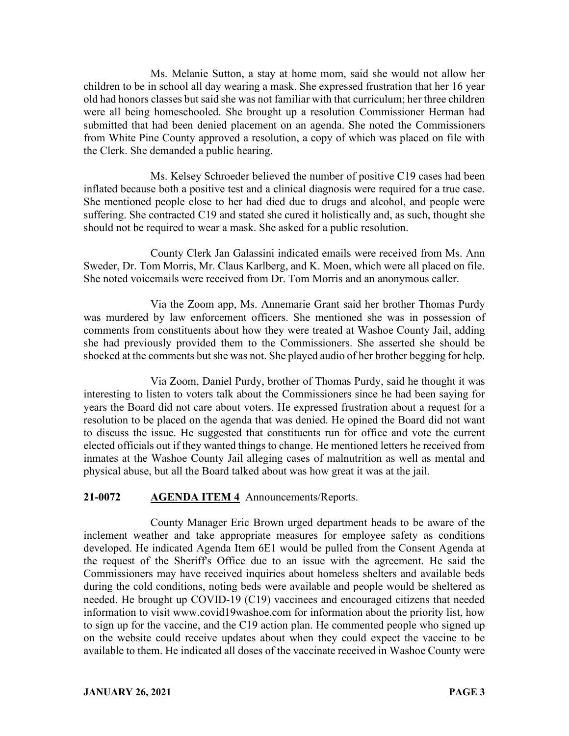Ms. Melanie Sutton, a stay at home mom, said she would not allow her children to be in school all day wearing a mask. She expressed frustration that her 16 year old had honors classes but said she was not familiar with that curriculum; her three children were all being homeschooled. She brought up a resolution Commissioner Herman had submitted that had been denied placement on an agenda. She noted the Commissioners from White Pine County approved a resolution, a copy of which was placed on file with the Clerk. She demanded a public hearing.

Ms. Kelsey Schroeder believed the number of positive C19 cases had been inflated because both a positive test and a clinical diagnosis were required for a true case. She mentioned people close to her had died due to drugs and alcohol, and people were suffering. She contracted C19 and stated she cured it holistically and, as such, thought she should not be required to wear a mask. She asked for a public resolution.

County Clerk Jan Galassini indicated emails were received from Ms. Ann Sweder, Dr. Tom Morris, Mr. Claus Karlberg, and K. Moen, which were all placed on file. She noted voicemails were received from Dr. Tom Morris and an anonymous caller.

Via the Zoom app, Ms. Annemarie Grant said her brother Thomas Purdy was murdered by law enforcement officers. She mentioned she was in possession of comments from constituents about how they were treated at Washoe County Jail, adding she had previously provided them to the Commissioners. She asserted she should be shocked at the comments but she was not. She played audio of her brother begging for help.

Via Zoom, Daniel Purdy, brother of Thomas Purdy, said he thought it was interesting to listen to voters talk about the Commissioners since he had been saying for years the Board did not care about voters. He expressed frustration about a request for a resolution to be placed on the agenda that was denied. He opined the Board did not want to discuss the issue. He suggested that constituents run for office and vote the current elected officials out if they wanted things to change. He mentioned letters he received from inmates at the Washoe County Jail alleging cases of malnutrition as well as mental and physical abuse, but all the Board talked about was how great it was at the jail.

## **21-0072 AGENDA ITEM 4** Announcements/Reports.

County Manager Eric Brown urged department heads to be aware of the inclement weather and take appropriate measures for employee safety as conditions developed. He indicated Agenda Item 6E1 would be pulled from the Consent Agenda at the request of the Sheriff's Office due to an issue with the agreement. He said the Commissioners may have received inquiries about homeless shelters and available beds during the cold conditions, noting beds were available and people would be sheltered as needed. He brought up COVID-19 (C19) vaccinees and encouraged citizens that needed information to visit www.covid19washoe.com for information about the priority list, how to sign up for the vaccine, and the C19 action plan. He commented people who signed up on the website could receive updates about when they could expect the vaccine to be available to them. He indicated all doses of the vaccinate received in Washoe County were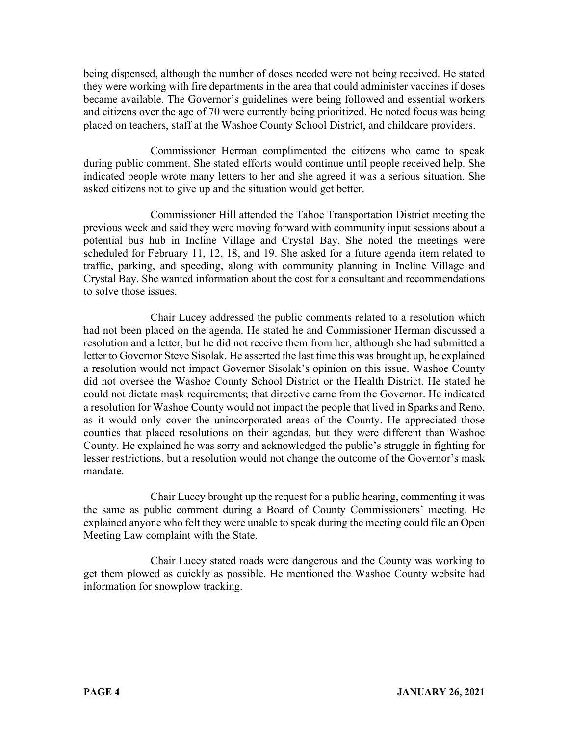being dispensed, although the number of doses needed were not being received. He stated they were working with fire departments in the area that could administer vaccines if doses became available. The Governor's guidelines were being followed and essential workers and citizens over the age of 70 were currently being prioritized. He noted focus was being placed on teachers, staff at the Washoe County School District, and childcare providers.

Commissioner Herman complimented the citizens who came to speak during public comment. She stated efforts would continue until people received help. She indicated people wrote many letters to her and she agreed it was a serious situation. She asked citizens not to give up and the situation would get better.

Commissioner Hill attended the Tahoe Transportation District meeting the previous week and said they were moving forward with community input sessions about a potential bus hub in Incline Village and Crystal Bay. She noted the meetings were scheduled for February 11, 12, 18, and 19. She asked for a future agenda item related to traffic, parking, and speeding, along with community planning in Incline Village and Crystal Bay. She wanted information about the cost for a consultant and recommendations to solve those issues.

Chair Lucey addressed the public comments related to a resolution which had not been placed on the agenda. He stated he and Commissioner Herman discussed a resolution and a letter, but he did not receive them from her, although she had submitted a letter to Governor Steve Sisolak. He asserted the last time this was brought up, he explained a resolution would not impact Governor Sisolak's opinion on this issue. Washoe County did not oversee the Washoe County School District or the Health District. He stated he could not dictate mask requirements; that directive came from the Governor. He indicated a resolution for Washoe County would not impact the people that lived in Sparks and Reno, as it would only cover the unincorporated areas of the County. He appreciated those counties that placed resolutions on their agendas, but they were different than Washoe County. He explained he was sorry and acknowledged the public's struggle in fighting for lesser restrictions, but a resolution would not change the outcome of the Governor's mask mandate.

Chair Lucey brought up the request for a public hearing, commenting it was the same as public comment during a Board of County Commissioners' meeting. He explained anyone who felt they were unable to speak during the meeting could file an Open Meeting Law complaint with the State.

Chair Lucey stated roads were dangerous and the County was working to get them plowed as quickly as possible. He mentioned the Washoe County website had information for snowplow tracking.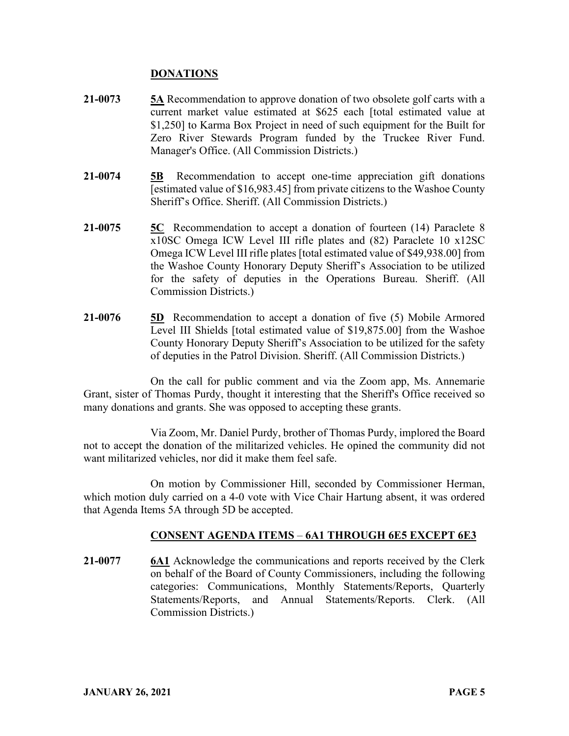## **DONATIONS**

- **21-0073 5A** Recommendation to approve donation of two obsolete golf carts with a current market value estimated at \$625 each [total estimated value at \$1,250] to Karma Box Project in need of such equipment for the Built for Zero River Stewards Program funded by the Truckee River Fund. Manager's Office. (All Commission Districts.)
- **21-0074 5B** Recommendation to accept one-time appreciation gift donations [estimated value of \$16,983.45] from private citizens to the Washoe County Sheriff's Office. Sheriff. (All Commission Districts.)
- **21-0075 5C** Recommendation to accept a donation of fourteen (14) Paraclete 8 x10SC Omega ICW Level III rifle plates and (82) Paraclete 10 x12SC Omega ICW Level III rifle plates [total estimated value of \$49,938.00] from the Washoe County Honorary Deputy Sheriff's Association to be utilized for the safety of deputies in the Operations Bureau. Sheriff. (All Commission Districts.)
- **21-0076 5D** Recommendation to accept a donation of five (5) Mobile Armored Level III Shields [total estimated value of \$19,875.00] from the Washoe County Honorary Deputy Sheriff's Association to be utilized for the safety of deputies in the Patrol Division. Sheriff. (All Commission Districts.)

On the call for public comment and via the Zoom app, Ms. Annemarie Grant, sister of Thomas Purdy, thought it interesting that the Sheriff's Office received so many donations and grants. She was opposed to accepting these grants.

Via Zoom, Mr. Daniel Purdy, brother of Thomas Purdy, implored the Board not to accept the donation of the militarized vehicles. He opined the community did not want militarized vehicles, nor did it make them feel safe.

On motion by Commissioner Hill, seconded by Commissioner Herman, which motion duly carried on a 4-0 vote with Vice Chair Hartung absent, it was ordered that Agenda Items 5A through 5D be accepted.

# **CONSENT AGENDA ITEMS** – **6A1 THROUGH 6E5 EXCEPT 6E3**

**21-0077 6A1** Acknowledge the communications and reports received by the Clerk on behalf of the Board of County Commissioners, including the following categories: Communications, Monthly Statements/Reports, Quarterly Statements/Reports, and Annual Statements/Reports. Clerk. (All Commission Districts.)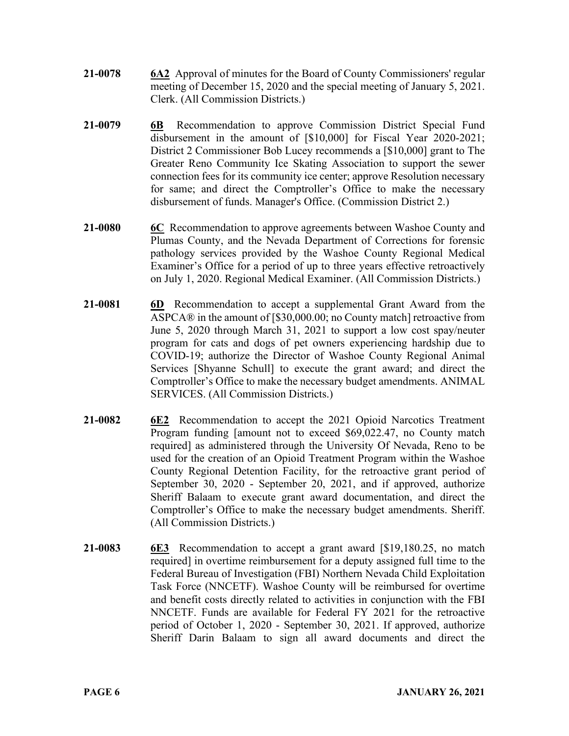- **21-0078 6A2** Approval of minutes for the Board of County Commissioners' regular meeting of December 15, 2020 and the special meeting of January 5, 2021. Clerk. (All Commission Districts.)
- **21-0079 6B** Recommendation to approve Commission District Special Fund disbursement in the amount of [\$10,000] for Fiscal Year 2020-2021; District 2 Commissioner Bob Lucey recommends a [\$10,000] grant to The Greater Reno Community Ice Skating Association to support the sewer connection fees for its community ice center; approve Resolution necessary for same; and direct the Comptroller's Office to make the necessary disbursement of funds. Manager's Office. (Commission District 2.)
- **21-0080 6C** Recommendation to approve agreements between Washoe County and Plumas County, and the Nevada Department of Corrections for forensic pathology services provided by the Washoe County Regional Medical Examiner's Office for a period of up to three years effective retroactively on July 1, 2020. Regional Medical Examiner. (All Commission Districts.)
- **21-0081 6D** Recommendation to accept a supplemental Grant Award from the ASPCA® in the amount of [\$30,000.00; no County match] retroactive from June 5, 2020 through March 31, 2021 to support a low cost spay/neuter program for cats and dogs of pet owners experiencing hardship due to COVID-19; authorize the Director of Washoe County Regional Animal Services [Shyanne Schull] to execute the grant award; and direct the Comptroller's Office to make the necessary budget amendments. ANIMAL SERVICES. (All Commission Districts.)
- **21-0082 6E2** Recommendation to accept the 2021 Opioid Narcotics Treatment Program funding [amount not to exceed \$69,022.47, no County match required] as administered through the University Of Nevada, Reno to be used for the creation of an Opioid Treatment Program within the Washoe County Regional Detention Facility, for the retroactive grant period of September 30, 2020 - September 20, 2021, and if approved, authorize Sheriff Balaam to execute grant award documentation, and direct the Comptroller's Office to make the necessary budget amendments. Sheriff. (All Commission Districts.)
- **21-0083 6E3** Recommendation to accept a grant award [\$19,180.25, no match required] in overtime reimbursement for a deputy assigned full time to the Federal Bureau of Investigation (FBI) Northern Nevada Child Exploitation Task Force (NNCETF). Washoe County will be reimbursed for overtime and benefit costs directly related to activities in conjunction with the FBI NNCETF. Funds are available for Federal FY 2021 for the retroactive period of October 1, 2020 - September 30, 2021. If approved, authorize Sheriff Darin Balaam to sign all award documents and direct the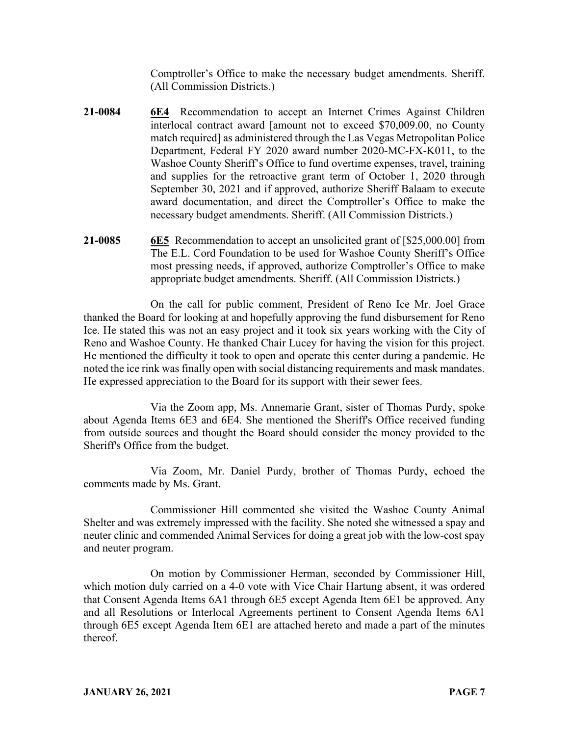Comptroller's Office to make the necessary budget amendments. Sheriff. (All Commission Districts.)

- **21-0084 6E4** Recommendation to accept an Internet Crimes Against Children interlocal contract award [amount not to exceed \$70,009.00, no County match required] as administered through the Las Vegas Metropolitan Police Department, Federal FY 2020 award number 2020-MC-FX-K011, to the Washoe County Sheriff's Office to fund overtime expenses, travel, training and supplies for the retroactive grant term of October 1, 2020 through September 30, 2021 and if approved, authorize Sheriff Balaam to execute award documentation, and direct the Comptroller's Office to make the necessary budget amendments. Sheriff. (All Commission Districts.)
- **21-0085 6E5** Recommendation to accept an unsolicited grant of [\$25,000.00] from The E.L. Cord Foundation to be used for Washoe County Sheriff's Office most pressing needs, if approved, authorize Comptroller's Office to make appropriate budget amendments. Sheriff. (All Commission Districts.)

On the call for public comment, President of Reno Ice Mr. Joel Grace thanked the Board for looking at and hopefully approving the fund disbursement for Reno Ice. He stated this was not an easy project and it took six years working with the City of Reno and Washoe County. He thanked Chair Lucey for having the vision for this project. He mentioned the difficulty it took to open and operate this center during a pandemic. He noted the ice rink was finally open with social distancing requirements and mask mandates. He expressed appreciation to the Board for its support with their sewer fees.

Via the Zoom app, Ms. Annemarie Grant, sister of Thomas Purdy, spoke about Agenda Items 6E3 and 6E4. She mentioned the Sheriff's Office received funding from outside sources and thought the Board should consider the money provided to the Sheriff's Office from the budget.

Via Zoom, Mr. Daniel Purdy, brother of Thomas Purdy, echoed the comments made by Ms. Grant.

Commissioner Hill commented she visited the Washoe County Animal Shelter and was extremely impressed with the facility. She noted she witnessed a spay and neuter clinic and commended Animal Services for doing a great job with the low-cost spay and neuter program.

On motion by Commissioner Herman, seconded by Commissioner Hill, which motion duly carried on a 4-0 vote with Vice Chair Hartung absent, it was ordered that Consent Agenda Items 6A1 through 6E5 except Agenda Item 6E1 be approved. Any and all Resolutions or Interlocal Agreements pertinent to Consent Agenda Items 6A1 through 6E5 except Agenda Item 6E1 are attached hereto and made a part of the minutes thereof.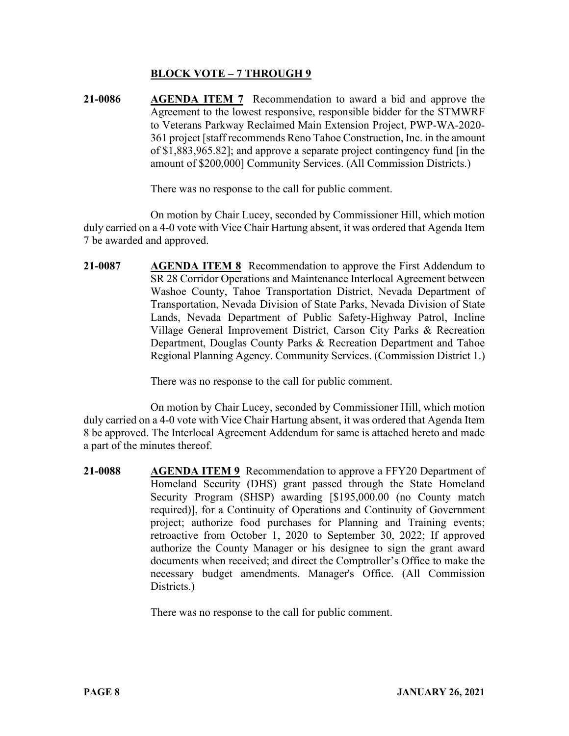## **BLOCK VOTE – 7 THROUGH 9**

**21-0086 AGENDA ITEM 7** Recommendation to award a bid and approve the Agreement to the lowest responsive, responsible bidder for the STMWRF to Veterans Parkway Reclaimed Main Extension Project, PWP-WA-2020- 361 project [staff recommends Reno Tahoe Construction, Inc. in the amount of \$1,883,965.82]; and approve a separate project contingency fund [in the amount of \$200,000] Community Services. (All Commission Districts.)

There was no response to the call for public comment.

On motion by Chair Lucey, seconded by Commissioner Hill, which motion duly carried on a 4-0 vote with Vice Chair Hartung absent, it was ordered that Agenda Item 7 be awarded and approved.

**21-0087 AGENDA ITEM 8** Recommendation to approve the First Addendum to SR 28 Corridor Operations and Maintenance Interlocal Agreement between Washoe County, Tahoe Transportation District, Nevada Department of Transportation, Nevada Division of State Parks, Nevada Division of State Lands, Nevada Department of Public Safety-Highway Patrol, Incline Village General Improvement District, Carson City Parks & Recreation Department, Douglas County Parks & Recreation Department and Tahoe Regional Planning Agency. Community Services. (Commission District 1.)

There was no response to the call for public comment.

On motion by Chair Lucey, seconded by Commissioner Hill, which motion duly carried on a 4-0 vote with Vice Chair Hartung absent, it was ordered that Agenda Item 8 be approved. The Interlocal Agreement Addendum for same is attached hereto and made a part of the minutes thereof.

**21-0088 AGENDA ITEM 9** Recommendation to approve a FFY20 Department of Homeland Security (DHS) grant passed through the State Homeland Security Program (SHSP) awarding [\$195,000.00 (no County match required)], for a Continuity of Operations and Continuity of Government project; authorize food purchases for Planning and Training events; retroactive from October 1, 2020 to September 30, 2022; If approved authorize the County Manager or his designee to sign the grant award documents when received; and direct the Comptroller's Office to make the necessary budget amendments. Manager's Office. (All Commission Districts.)

There was no response to the call for public comment.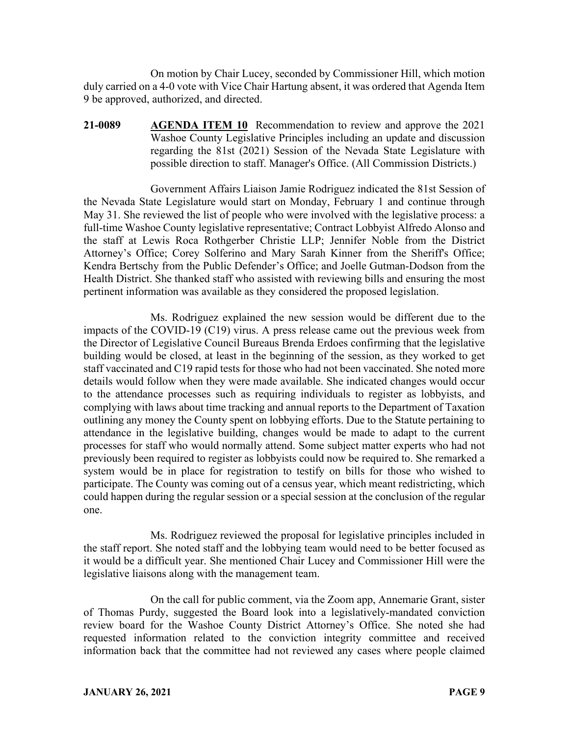On motion by Chair Lucey, seconded by Commissioner Hill, which motion duly carried on a 4-0 vote with Vice Chair Hartung absent, it was ordered that Agenda Item 9 be approved, authorized, and directed.

**21-0089 AGENDA ITEM 10** Recommendation to review and approve the 2021 Washoe County Legislative Principles including an update and discussion regarding the 81st (2021) Session of the Nevada State Legislature with possible direction to staff. Manager's Office. (All Commission Districts.)

Government Affairs Liaison Jamie Rodriguez indicated the 81st Session of the Nevada State Legislature would start on Monday, February 1 and continue through May 31. She reviewed the list of people who were involved with the legislative process: a full-time Washoe County legislative representative; Contract Lobbyist Alfredo Alonso and the staff at Lewis Roca Rothgerber Christie LLP; Jennifer Noble from the District Attorney's Office; Corey Solferino and Mary Sarah Kinner from the Sheriff's Office; Kendra Bertschy from the Public Defender's Office; and Joelle Gutman-Dodson from the Health District. She thanked staff who assisted with reviewing bills and ensuring the most pertinent information was available as they considered the proposed legislation.

Ms. Rodriguez explained the new session would be different due to the impacts of the COVID-19 (C19) virus. A press release came out the previous week from the Director of Legislative Council Bureaus Brenda Erdoes confirming that the legislative building would be closed, at least in the beginning of the session, as they worked to get staff vaccinated and C19 rapid tests for those who had not been vaccinated. She noted more details would follow when they were made available. She indicated changes would occur to the attendance processes such as requiring individuals to register as lobbyists, and complying with laws about time tracking and annual reports to the Department of Taxation outlining any money the County spent on lobbying efforts. Due to the Statute pertaining to attendance in the legislative building, changes would be made to adapt to the current processes for staff who would normally attend. Some subject matter experts who had not previously been required to register as lobbyists could now be required to. She remarked a system would be in place for registration to testify on bills for those who wished to participate. The County was coming out of a census year, which meant redistricting, which could happen during the regular session or a special session at the conclusion of the regular one.

Ms. Rodriguez reviewed the proposal for legislative principles included in the staff report. She noted staff and the lobbying team would need to be better focused as it would be a difficult year. She mentioned Chair Lucey and Commissioner Hill were the legislative liaisons along with the management team.

On the call for public comment, via the Zoom app, Annemarie Grant, sister of Thomas Purdy, suggested the Board look into a legislatively-mandated conviction review board for the Washoe County District Attorney's Office. She noted she had requested information related to the conviction integrity committee and received information back that the committee had not reviewed any cases where people claimed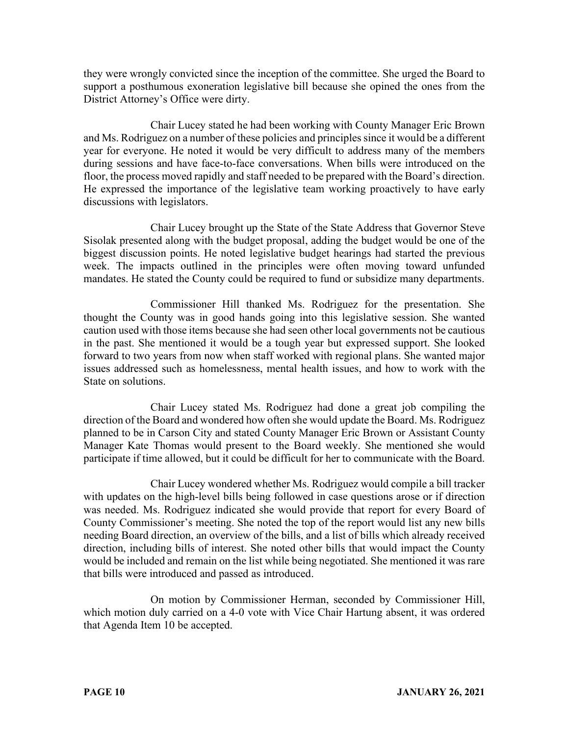they were wrongly convicted since the inception of the committee. She urged the Board to support a posthumous exoneration legislative bill because she opined the ones from the District Attorney's Office were dirty.

Chair Lucey stated he had been working with County Manager Eric Brown and Ms. Rodriguez on a number of these policies and principles since it would be a different year for everyone. He noted it would be very difficult to address many of the members during sessions and have face-to-face conversations. When bills were introduced on the floor, the process moved rapidly and staff needed to be prepared with the Board's direction. He expressed the importance of the legislative team working proactively to have early discussions with legislators.

Chair Lucey brought up the State of the State Address that Governor Steve Sisolak presented along with the budget proposal, adding the budget would be one of the biggest discussion points. He noted legislative budget hearings had started the previous week. The impacts outlined in the principles were often moving toward unfunded mandates. He stated the County could be required to fund or subsidize many departments.

Commissioner Hill thanked Ms. Rodriguez for the presentation. She thought the County was in good hands going into this legislative session. She wanted caution used with those items because she had seen other local governments not be cautious in the past. She mentioned it would be a tough year but expressed support. She looked forward to two years from now when staff worked with regional plans. She wanted major issues addressed such as homelessness, mental health issues, and how to work with the State on solutions.

Chair Lucey stated Ms. Rodriguez had done a great job compiling the direction of the Board and wondered how often she would update the Board. Ms. Rodriguez planned to be in Carson City and stated County Manager Eric Brown or Assistant County Manager Kate Thomas would present to the Board weekly. She mentioned she would participate if time allowed, but it could be difficult for her to communicate with the Board.

Chair Lucey wondered whether Ms. Rodriguez would compile a bill tracker with updates on the high-level bills being followed in case questions arose or if direction was needed. Ms. Rodriguez indicated she would provide that report for every Board of County Commissioner's meeting. She noted the top of the report would list any new bills needing Board direction, an overview of the bills, and a list of bills which already received direction, including bills of interest. She noted other bills that would impact the County would be included and remain on the list while being negotiated. She mentioned it was rare that bills were introduced and passed as introduced.

On motion by Commissioner Herman, seconded by Commissioner Hill, which motion duly carried on a 4-0 vote with Vice Chair Hartung absent, it was ordered that Agenda Item 10 be accepted.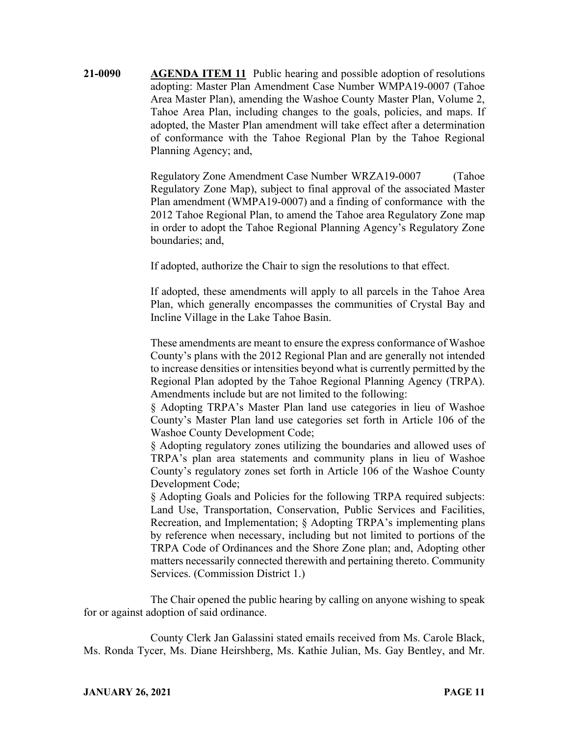**21-0090 AGENDA ITEM 11** Public hearing and possible adoption of resolutions adopting: Master Plan Amendment Case Number WMPA19-0007 (Tahoe Area Master Plan), amending the Washoe County Master Plan, Volume 2, Tahoe Area Plan, including changes to the goals, policies, and maps. If adopted, the Master Plan amendment will take effect after a determination of conformance with the Tahoe Regional Plan by the Tahoe Regional Planning Agency; and,

> Regulatory Zone Amendment Case Number WRZA19-0007 (Tahoe Regulatory Zone Map), subject to final approval of the associated Master Plan amendment (WMPA19-0007) and a finding of conformance with the 2012 Tahoe Regional Plan, to amend the Tahoe area Regulatory Zone map in order to adopt the Tahoe Regional Planning Agency's Regulatory Zone boundaries; and,

If adopted, authorize the Chair to sign the resolutions to that effect.

If adopted, these amendments will apply to all parcels in the Tahoe Area Plan, which generally encompasses the communities of Crystal Bay and Incline Village in the Lake Tahoe Basin.

These amendments are meant to ensure the express conformance of Washoe County's plans with the 2012 Regional Plan and are generally not intended to increase densities or intensities beyond what is currently permitted by the Regional Plan adopted by the Tahoe Regional Planning Agency (TRPA). Amendments include but are not limited to the following:

§ Adopting TRPA's Master Plan land use categories in lieu of Washoe County's Master Plan land use categories set forth in Article 106 of the Washoe County Development Code;

§ Adopting regulatory zones utilizing the boundaries and allowed uses of TRPA's plan area statements and community plans in lieu of Washoe County's regulatory zones set forth in Article 106 of the Washoe County Development Code;

§ Adopting Goals and Policies for the following TRPA required subjects: Land Use, Transportation, Conservation, Public Services and Facilities, Recreation, and Implementation; § Adopting TRPA's implementing plans by reference when necessary, including but not limited to portions of the TRPA Code of Ordinances and the Shore Zone plan; and, Adopting other matters necessarily connected therewith and pertaining thereto. Community Services. (Commission District 1.)

The Chair opened the public hearing by calling on anyone wishing to speak for or against adoption of said ordinance.

County Clerk Jan Galassini stated emails received from Ms. Carole Black, Ms. Ronda Tycer, Ms. Diane Heirshberg, Ms. Kathie Julian, Ms. Gay Bentley, and Mr.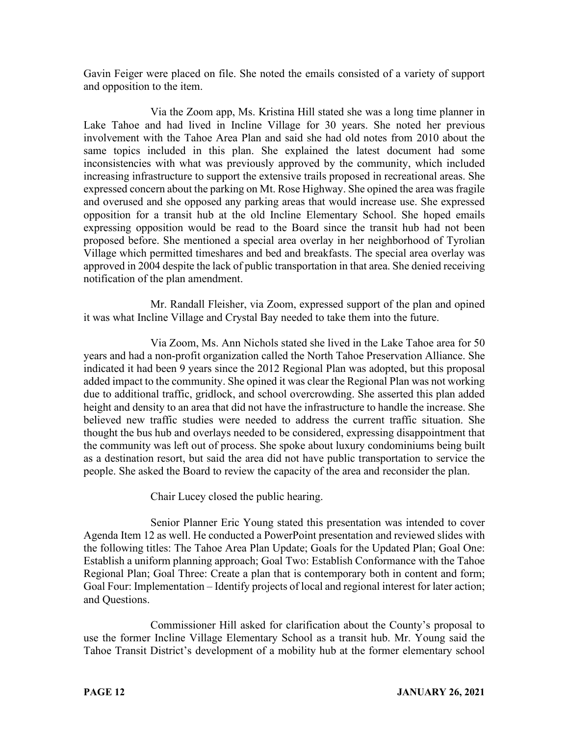Gavin Feiger were placed on file. She noted the emails consisted of a variety of support and opposition to the item.

Via the Zoom app, Ms. Kristina Hill stated she was a long time planner in Lake Tahoe and had lived in Incline Village for 30 years. She noted her previous involvement with the Tahoe Area Plan and said she had old notes from 2010 about the same topics included in this plan. She explained the latest document had some inconsistencies with what was previously approved by the community, which included increasing infrastructure to support the extensive trails proposed in recreational areas. She expressed concern about the parking on Mt. Rose Highway. She opined the area was fragile and overused and she opposed any parking areas that would increase use. She expressed opposition for a transit hub at the old Incline Elementary School. She hoped emails expressing opposition would be read to the Board since the transit hub had not been proposed before. She mentioned a special area overlay in her neighborhood of Tyrolian Village which permitted timeshares and bed and breakfasts. The special area overlay was approved in 2004 despite the lack of public transportation in that area. She denied receiving notification of the plan amendment.

Mr. Randall Fleisher, via Zoom, expressed support of the plan and opined it was what Incline Village and Crystal Bay needed to take them into the future.

Via Zoom, Ms. Ann Nichols stated she lived in the Lake Tahoe area for 50 years and had a non-profit organization called the North Tahoe Preservation Alliance. She indicated it had been 9 years since the 2012 Regional Plan was adopted, but this proposal added impact to the community. She opined it was clear the Regional Plan was not working due to additional traffic, gridlock, and school overcrowding. She asserted this plan added height and density to an area that did not have the infrastructure to handle the increase. She believed new traffic studies were needed to address the current traffic situation. She thought the bus hub and overlays needed to be considered, expressing disappointment that the community was left out of process. She spoke about luxury condominiums being built as a destination resort, but said the area did not have public transportation to service the people. She asked the Board to review the capacity of the area and reconsider the plan.

Chair Lucey closed the public hearing.

Senior Planner Eric Young stated this presentation was intended to cover Agenda Item 12 as well. He conducted a PowerPoint presentation and reviewed slides with the following titles: The Tahoe Area Plan Update; Goals for the Updated Plan; Goal One: Establish a uniform planning approach; Goal Two: Establish Conformance with the Tahoe Regional Plan; Goal Three: Create a plan that is contemporary both in content and form; Goal Four: Implementation – Identify projects of local and regional interest for later action; and Questions.

Commissioner Hill asked for clarification about the County's proposal to use the former Incline Village Elementary School as a transit hub. Mr. Young said the Tahoe Transit District's development of a mobility hub at the former elementary school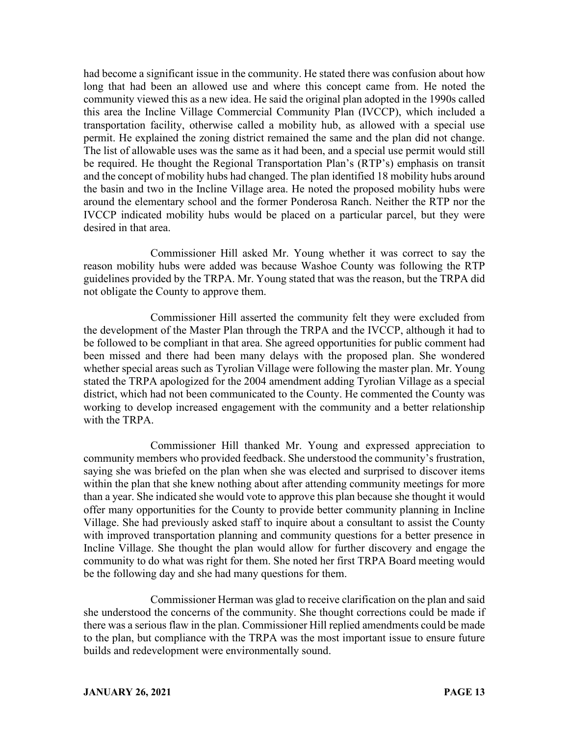had become a significant issue in the community. He stated there was confusion about how long that had been an allowed use and where this concept came from. He noted the community viewed this as a new idea. He said the original plan adopted in the 1990s called this area the Incline Village Commercial Community Plan (IVCCP), which included a transportation facility, otherwise called a mobility hub, as allowed with a special use permit. He explained the zoning district remained the same and the plan did not change. The list of allowable uses was the same as it had been, and a special use permit would still be required. He thought the Regional Transportation Plan's (RTP's) emphasis on transit and the concept of mobility hubs had changed. The plan identified 18 mobility hubs around the basin and two in the Incline Village area. He noted the proposed mobility hubs were around the elementary school and the former Ponderosa Ranch. Neither the RTP nor the IVCCP indicated mobility hubs would be placed on a particular parcel, but they were desired in that area.

Commissioner Hill asked Mr. Young whether it was correct to say the reason mobility hubs were added was because Washoe County was following the RTP guidelines provided by the TRPA. Mr. Young stated that was the reason, but the TRPA did not obligate the County to approve them.

Commissioner Hill asserted the community felt they were excluded from the development of the Master Plan through the TRPA and the IVCCP, although it had to be followed to be compliant in that area. She agreed opportunities for public comment had been missed and there had been many delays with the proposed plan. She wondered whether special areas such as Tyrolian Village were following the master plan. Mr. Young stated the TRPA apologized for the 2004 amendment adding Tyrolian Village as a special district, which had not been communicated to the County. He commented the County was working to develop increased engagement with the community and a better relationship with the TRPA.

Commissioner Hill thanked Mr. Young and expressed appreciation to community members who provided feedback. She understood the community's frustration, saying she was briefed on the plan when she was elected and surprised to discover items within the plan that she knew nothing about after attending community meetings for more than a year. She indicated she would vote to approve this plan because she thought it would offer many opportunities for the County to provide better community planning in Incline Village. She had previously asked staff to inquire about a consultant to assist the County with improved transportation planning and community questions for a better presence in Incline Village. She thought the plan would allow for further discovery and engage the community to do what was right for them. She noted her first TRPA Board meeting would be the following day and she had many questions for them.

Commissioner Herman was glad to receive clarification on the plan and said she understood the concerns of the community. She thought corrections could be made if there was a serious flaw in the plan. Commissioner Hill replied amendments could be made to the plan, but compliance with the TRPA was the most important issue to ensure future builds and redevelopment were environmentally sound.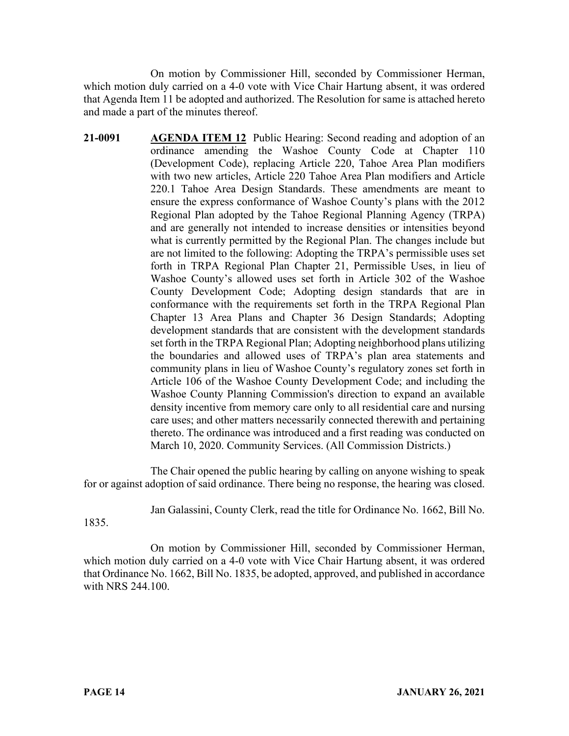On motion by Commissioner Hill, seconded by Commissioner Herman, which motion duly carried on a 4-0 vote with Vice Chair Hartung absent, it was ordered that Agenda Item 11 be adopted and authorized. The Resolution for same is attached hereto and made a part of the minutes thereof.

**21-0091 AGENDA ITEM 12** Public Hearing: Second reading and adoption of an ordinance amending the Washoe County Code at Chapter 110 (Development Code), replacing Article 220, Tahoe Area Plan modifiers with two new articles, Article 220 Tahoe Area Plan modifiers and Article 220.1 Tahoe Area Design Standards. These amendments are meant to ensure the express conformance of Washoe County's plans with the 2012 Regional Plan adopted by the Tahoe Regional Planning Agency (TRPA) and are generally not intended to increase densities or intensities beyond what is currently permitted by the Regional Plan. The changes include but are not limited to the following: Adopting the TRPA's permissible uses set forth in TRPA Regional Plan Chapter 21, Permissible Uses, in lieu of Washoe County's allowed uses set forth in Article 302 of the Washoe County Development Code; Adopting design standards that are in conformance with the requirements set forth in the TRPA Regional Plan Chapter 13 Area Plans and Chapter 36 Design Standards; Adopting development standards that are consistent with the development standards set forth in the TRPA Regional Plan; Adopting neighborhood plans utilizing the boundaries and allowed uses of TRPA's plan area statements and community plans in lieu of Washoe County's regulatory zones set forth in Article 106 of the Washoe County Development Code; and including the Washoe County Planning Commission's direction to expand an available density incentive from memory care only to all residential care and nursing care uses; and other matters necessarily connected therewith and pertaining thereto. The ordinance was introduced and a first reading was conducted on March 10, 2020. Community Services. (All Commission Districts.)

The Chair opened the public hearing by calling on anyone wishing to speak for or against adoption of said ordinance. There being no response, the hearing was closed.

Jan Galassini, County Clerk, read the title for Ordinance No. 1662, Bill No.

1835.

On motion by Commissioner Hill, seconded by Commissioner Herman, which motion duly carried on a 4-0 vote with Vice Chair Hartung absent, it was ordered that Ordinance No. 1662, Bill No. 1835, be adopted, approved, and published in accordance with NRS 244.100.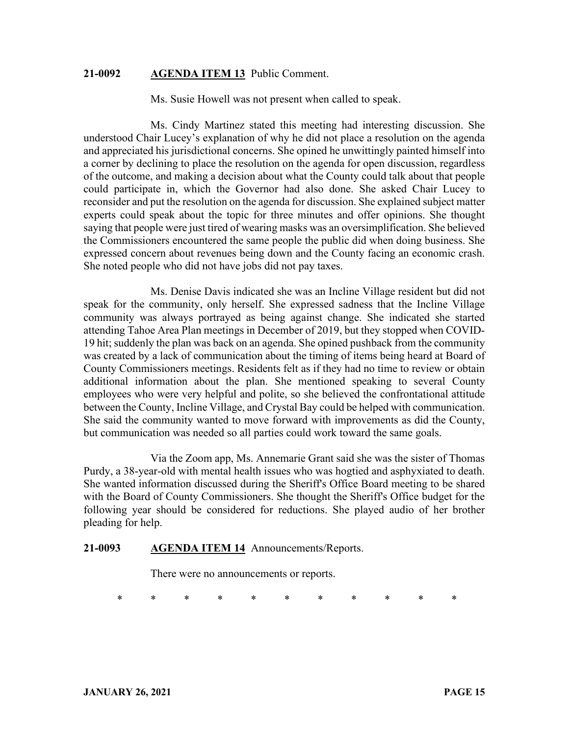#### **21-0092 AGENDA ITEM 13** Public Comment.

Ms. Susie Howell was not present when called to speak.

Ms. Cindy Martinez stated this meeting had interesting discussion. She understood Chair Lucey's explanation of why he did not place a resolution on the agenda and appreciated his jurisdictional concerns. She opined he unwittingly painted himself into a corner by declining to place the resolution on the agenda for open discussion, regardless of the outcome, and making a decision about what the County could talk about that people could participate in, which the Governor had also done. She asked Chair Lucey to reconsider and put the resolution on the agenda for discussion. She explained subject matter experts could speak about the topic for three minutes and offer opinions. She thought saying that people were just tired of wearing masks was an oversimplification. She believed the Commissioners encountered the same people the public did when doing business. She expressed concern about revenues being down and the County facing an economic crash. She noted people who did not have jobs did not pay taxes.

Ms. Denise Davis indicated she was an Incline Village resident but did not speak for the community, only herself. She expressed sadness that the Incline Village community was always portrayed as being against change. She indicated she started attending Tahoe Area Plan meetings in December of 2019, but they stopped when COVID-19 hit; suddenly the plan was back on an agenda. She opined pushback from the community was created by a lack of communication about the timing of items being heard at Board of County Commissioners meetings. Residents felt as if they had no time to review or obtain additional information about the plan. She mentioned speaking to several County employees who were very helpful and polite, so she believed the confrontational attitude between the County, Incline Village, and Crystal Bay could be helped with communication. She said the community wanted to move forward with improvements as did the County, but communication was needed so all parties could work toward the same goals.

Via the Zoom app, Ms. Annemarie Grant said she was the sister of Thomas Purdy, a 38-year-old with mental health issues who was hogtied and asphyxiated to death. She wanted information discussed during the Sheriff's Office Board meeting to be shared with the Board of County Commissioners. She thought the Sheriff's Office budget for the following year should be considered for reductions. She played audio of her brother pleading for help.

#### **21-0093 AGENDA ITEM 14** Announcements/Reports.

There were no announcements or reports.

\* \* \* \* \* \* \* \* \* \* \*